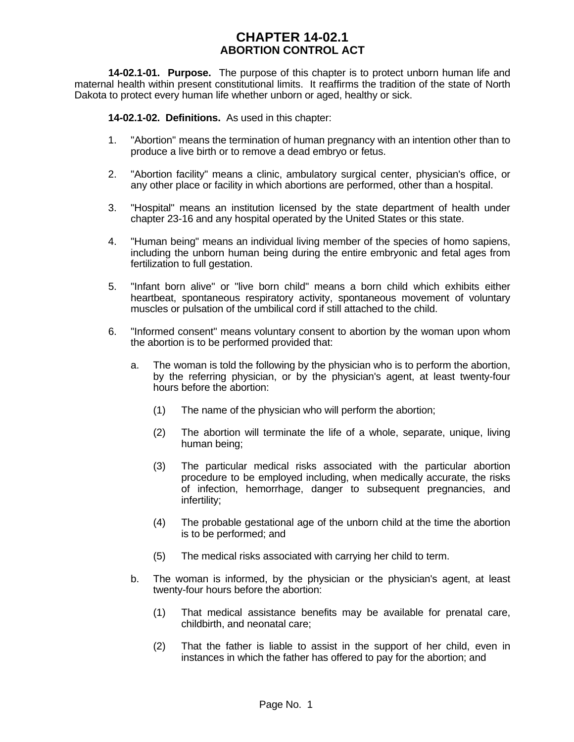# **CHAPTER 14-02.1 ABORTION CONTROL ACT**

**14-02.1-01. Purpose.** The purpose of this chapter is to protect unborn human life and maternal health within present constitutional limits. It reaffirms the tradition of the state of North Dakota to protect every human life whether unborn or aged, healthy or sick.

### **14-02.1-02. Definitions.** As used in this chapter:

- 1. "Abortion" means the termination of human pregnancy with an intention other than to produce a live birth or to remove a dead embryo or fetus.
- 2. "Abortion facility" means a clinic, ambulatory surgical center, physician's office, or any other place or facility in which abortions are performed, other than a hospital.
- 3. "Hospital" means an institution licensed by the state department of health under chapter 23-16 and any hospital operated by the United States or this state.
- 4. "Human being" means an individual living member of the species of homo sapiens, including the unborn human being during the entire embryonic and fetal ages from fertilization to full gestation.
- 5. "Infant born alive" or "live born child" means a born child which exhibits either heartbeat, spontaneous respiratory activity, spontaneous movement of voluntary muscles or pulsation of the umbilical cord if still attached to the child.
- 6. "Informed consent" means voluntary consent to abortion by the woman upon whom the abortion is to be performed provided that:
	- a. The woman is told the following by the physician who is to perform the abortion, by the referring physician, or by the physician's agent, at least twenty-four hours before the abortion:
		- (1) The name of the physician who will perform the abortion;
		- (2) The abortion will terminate the life of a whole, separate, unique, living human being;
		- (3) The particular medical risks associated with the particular abortion procedure to be employed including, when medically accurate, the risks of infection, hemorrhage, danger to subsequent pregnancies, and infertility;
		- (4) The probable gestational age of the unborn child at the time the abortion is to be performed; and
		- (5) The medical risks associated with carrying her child to term.
	- b. The woman is informed, by the physician or the physician's agent, at least twenty-four hours before the abortion:
		- (1) That medical assistance benefits may be available for prenatal care, childbirth, and neonatal care;
		- (2) That the father is liable to assist in the support of her child, even in instances in which the father has offered to pay for the abortion; and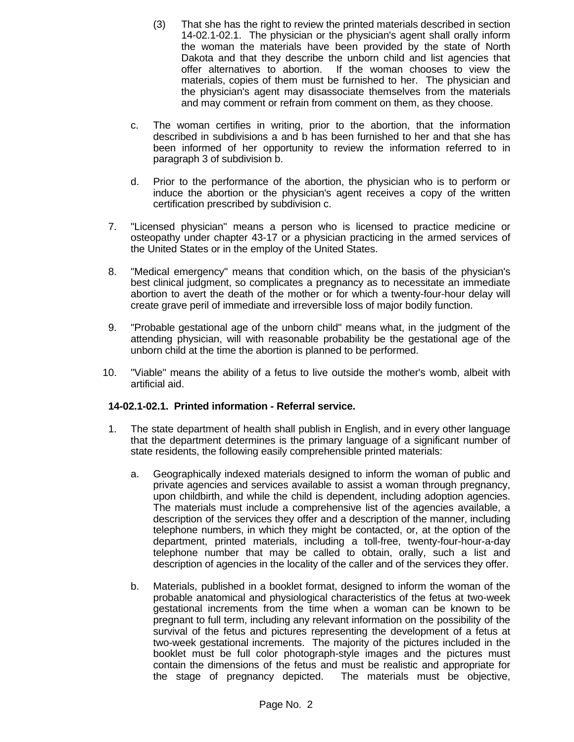- (3) That she has the right to review the printed materials described in section 14-02.1-02.1. The physician or the physician's agent shall orally inform the woman the materials have been provided by the state of North Dakota and that they describe the unborn child and list agencies that offer alternatives to abortion. If the woman chooses to view the materials, copies of them must be furnished to her. The physician and the physician's agent may disassociate themselves from the materials and may comment or refrain from comment on them, as they choose.
- c. The woman certifies in writing, prior to the abortion, that the information described in subdivisions a and b has been furnished to her and that she has been informed of her opportunity to review the information referred to in paragraph 3 of subdivision b.
- d. Prior to the performance of the abortion, the physician who is to perform or induce the abortion or the physician's agent receives a copy of the written certification prescribed by subdivision c.
- 7. "Licensed physician" means a person who is licensed to practice medicine or osteopathy under chapter 43-17 or a physician practicing in the armed services of the United States or in the employ of the United States.
- 8. "Medical emergency" means that condition which, on the basis of the physician's best clinical judgment, so complicates a pregnancy as to necessitate an immediate abortion to avert the death of the mother or for which a twenty-four-hour delay will create grave peril of immediate and irreversible loss of major bodily function.
- 9. "Probable gestational age of the unborn child" means what, in the judgment of the attending physician, will with reasonable probability be the gestational age of the unborn child at the time the abortion is planned to be performed.
- 10. "Viable" means the ability of a fetus to live outside the mother's womb, albeit with artificial aid.

#### **14-02.1-02.1. Printed information - Referral service.**

- 1. The state department of health shall publish in English, and in every other language that the department determines is the primary language of a significant number of state residents, the following easily comprehensible printed materials:
	- a. Geographically indexed materials designed to inform the woman of public and private agencies and services available to assist a woman through pregnancy, upon childbirth, and while the child is dependent, including adoption agencies. The materials must include a comprehensive list of the agencies available, a description of the services they offer and a description of the manner, including telephone numbers, in which they might be contacted, or, at the option of the department, printed materials, including a toll-free, twenty-four-hour-a-day telephone number that may be called to obtain, orally, such a list and description of agencies in the locality of the caller and of the services they offer.
	- b. Materials, published in a booklet format, designed to inform the woman of the probable anatomical and physiological characteristics of the fetus at two-week gestational increments from the time when a woman can be known to be pregnant to full term, including any relevant information on the possibility of the survival of the fetus and pictures representing the development of a fetus at two-week gestational increments. The majority of the pictures included in the booklet must be full color photograph-style images and the pictures must contain the dimensions of the fetus and must be realistic and appropriate for the stage of pregnancy depicted. The materials must be objective,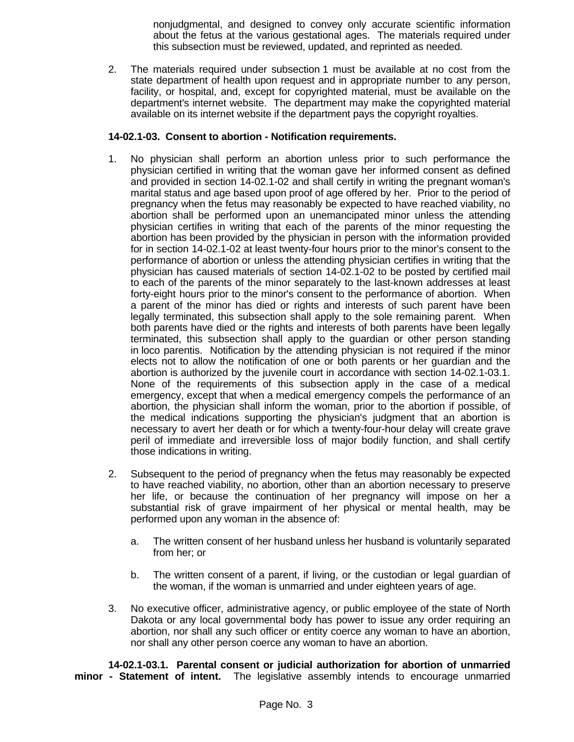nonjudgmental, and designed to convey only accurate scientific information about the fetus at the various gestational ages. The materials required under this subsection must be reviewed, updated, and reprinted as needed.

2. The materials required under subsection 1 must be available at no cost from the state department of health upon request and in appropriate number to any person, facility, or hospital, and, except for copyrighted material, must be available on the department's internet website. The department may make the copyrighted material available on its internet website if the department pays the copyright royalties.

## **14-02.1-03. Consent to abortion - Notification requirements.**

- 1. No physician shall perform an abortion unless prior to such performance the physician certified in writing that the woman gave her informed consent as defined and provided in section 14-02.1-02 and shall certify in writing the pregnant woman's marital status and age based upon proof of age offered by her. Prior to the period of pregnancy when the fetus may reasonably be expected to have reached viability, no abortion shall be performed upon an unemancipated minor unless the attending physician certifies in writing that each of the parents of the minor requesting the abortion has been provided by the physician in person with the information provided for in section 14-02.1-02 at least twenty-four hours prior to the minor's consent to the performance of abortion or unless the attending physician certifies in writing that the physician has caused materials of section 14-02.1-02 to be posted by certified mail to each of the parents of the minor separately to the last-known addresses at least forty-eight hours prior to the minor's consent to the performance of abortion. When a parent of the minor has died or rights and interests of such parent have been legally terminated, this subsection shall apply to the sole remaining parent. When both parents have died or the rights and interests of both parents have been legally terminated, this subsection shall apply to the guardian or other person standing in loco parentis. Notification by the attending physician is not required if the minor elects not to allow the notification of one or both parents or her guardian and the abortion is authorized by the juvenile court in accordance with section 14-02.1-03.1. None of the requirements of this subsection apply in the case of a medical emergency, except that when a medical emergency compels the performance of an abortion, the physician shall inform the woman, prior to the abortion if possible, of the medical indications supporting the physician's judgment that an abortion is necessary to avert her death or for which a twenty-four-hour delay will create grave peril of immediate and irreversible loss of major bodily function, and shall certify those indications in writing.
- 2. Subsequent to the period of pregnancy when the fetus may reasonably be expected to have reached viability, no abortion, other than an abortion necessary to preserve her life, or because the continuation of her pregnancy will impose on her a substantial risk of grave impairment of her physical or mental health, may be performed upon any woman in the absence of:
	- a. The written consent of her husband unless her husband is voluntarily separated from her; or
	- b. The written consent of a parent, if living, or the custodian or legal guardian of the woman, if the woman is unmarried and under eighteen years of age.
- 3. No executive officer, administrative agency, or public employee of the state of North Dakota or any local governmental body has power to issue any order requiring an abortion, nor shall any such officer or entity coerce any woman to have an abortion, nor shall any other person coerce any woman to have an abortion.

**14-02.1-03.1. Parental consent or judicial authorization for abortion of unmarried minor - Statement of intent.** The legislative assembly intends to encourage unmarried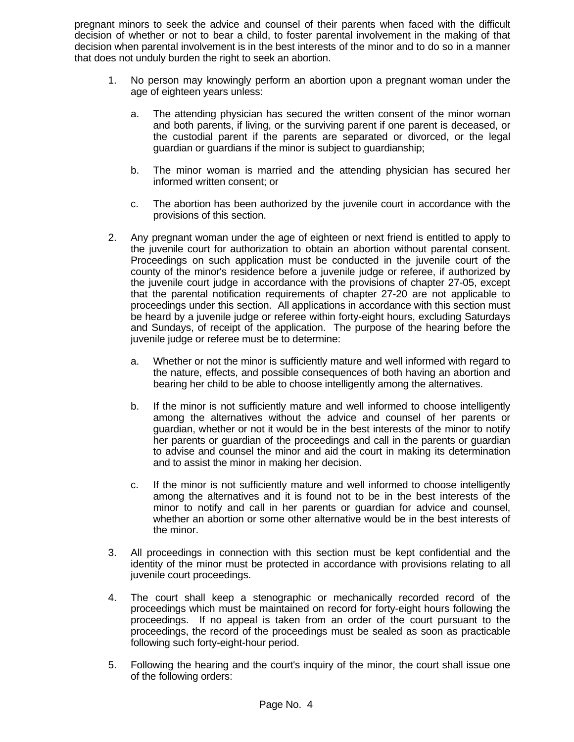pregnant minors to seek the advice and counsel of their parents when faced with the difficult decision of whether or not to bear a child, to foster parental involvement in the making of that decision when parental involvement is in the best interests of the minor and to do so in a manner that does not unduly burden the right to seek an abortion.

- 1. No person may knowingly perform an abortion upon a pregnant woman under the age of eighteen years unless:
	- a. The attending physician has secured the written consent of the minor woman and both parents, if living, or the surviving parent if one parent is deceased, or the custodial parent if the parents are separated or divorced, or the legal guardian or guardians if the minor is subject to guardianship;
	- b. The minor woman is married and the attending physician has secured her informed written consent; or
	- c. The abortion has been authorized by the juvenile court in accordance with the provisions of this section.
- 2. Any pregnant woman under the age of eighteen or next friend is entitled to apply to the juvenile court for authorization to obtain an abortion without parental consent. Proceedings on such application must be conducted in the juvenile court of the county of the minor's residence before a juvenile judge or referee, if authorized by the juvenile court judge in accordance with the provisions of chapter 27-05, except that the parental notification requirements of chapter 27-20 are not applicable to proceedings under this section. All applications in accordance with this section must be heard by a juvenile judge or referee within forty-eight hours, excluding Saturdays and Sundays, of receipt of the application. The purpose of the hearing before the juvenile judge or referee must be to determine:
	- a. Whether or not the minor is sufficiently mature and well informed with regard to the nature, effects, and possible consequences of both having an abortion and bearing her child to be able to choose intelligently among the alternatives.
	- b. If the minor is not sufficiently mature and well informed to choose intelligently among the alternatives without the advice and counsel of her parents or guardian, whether or not it would be in the best interests of the minor to notify her parents or guardian of the proceedings and call in the parents or guardian to advise and counsel the minor and aid the court in making its determination and to assist the minor in making her decision.
	- c. If the minor is not sufficiently mature and well informed to choose intelligently among the alternatives and it is found not to be in the best interests of the minor to notify and call in her parents or guardian for advice and counsel, whether an abortion or some other alternative would be in the best interests of the minor.
- 3. All proceedings in connection with this section must be kept confidential and the identity of the minor must be protected in accordance with provisions relating to all juvenile court proceedings.
- 4. The court shall keep a stenographic or mechanically recorded record of the proceedings which must be maintained on record for forty-eight hours following the proceedings. If no appeal is taken from an order of the court pursuant to the proceedings, the record of the proceedings must be sealed as soon as practicable following such forty-eight-hour period.
- 5. Following the hearing and the court's inquiry of the minor, the court shall issue one of the following orders: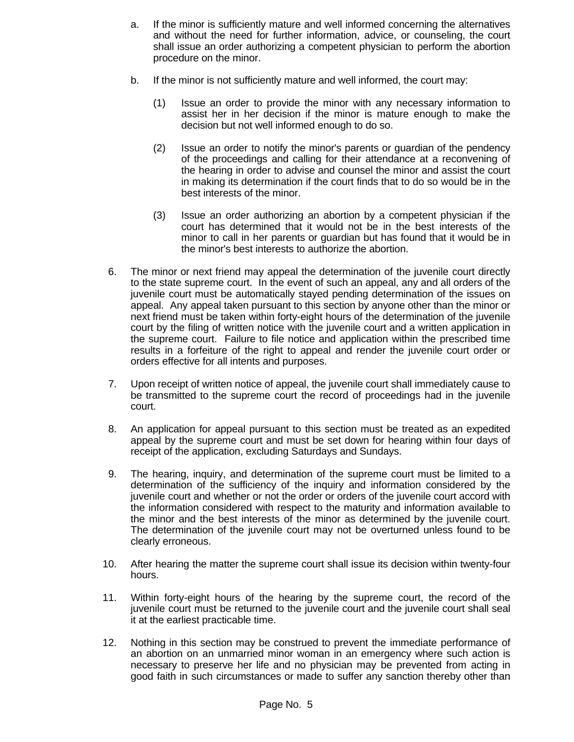- a. If the minor is sufficiently mature and well informed concerning the alternatives and without the need for further information, advice, or counseling, the court shall issue an order authorizing a competent physician to perform the abortion procedure on the minor.
- b. If the minor is not sufficiently mature and well informed, the court may:
	- (1) Issue an order to provide the minor with any necessary information to assist her in her decision if the minor is mature enough to make the decision but not well informed enough to do so.
	- (2) Issue an order to notify the minor's parents or guardian of the pendency of the proceedings and calling for their attendance at a reconvening of the hearing in order to advise and counsel the minor and assist the court in making its determination if the court finds that to do so would be in the best interests of the minor.
	- (3) Issue an order authorizing an abortion by a competent physician if the court has determined that it would not be in the best interests of the minor to call in her parents or guardian but has found that it would be in the minor's best interests to authorize the abortion.
- 6. The minor or next friend may appeal the determination of the juvenile court directly to the state supreme court. In the event of such an appeal, any and all orders of the juvenile court must be automatically stayed pending determination of the issues on appeal. Any appeal taken pursuant to this section by anyone other than the minor or next friend must be taken within forty-eight hours of the determination of the juvenile court by the filing of written notice with the juvenile court and a written application in the supreme court. Failure to file notice and application within the prescribed time results in a forfeiture of the right to appeal and render the juvenile court order or orders effective for all intents and purposes.
- 7. Upon receipt of written notice of appeal, the juvenile court shall immediately cause to be transmitted to the supreme court the record of proceedings had in the juvenile court.
- 8. An application for appeal pursuant to this section must be treated as an expedited appeal by the supreme court and must be set down for hearing within four days of receipt of the application, excluding Saturdays and Sundays.
- 9. The hearing, inquiry, and determination of the supreme court must be limited to a determination of the sufficiency of the inquiry and information considered by the juvenile court and whether or not the order or orders of the juvenile court accord with the information considered with respect to the maturity and information available to the minor and the best interests of the minor as determined by the juvenile court. The determination of the juvenile court may not be overturned unless found to be clearly erroneous.
- 10. After hearing the matter the supreme court shall issue its decision within twenty-four hours.
- 11. Within forty-eight hours of the hearing by the supreme court, the record of the juvenile court must be returned to the juvenile court and the juvenile court shall seal it at the earliest practicable time.
- 12. Nothing in this section may be construed to prevent the immediate performance of an abortion on an unmarried minor woman in an emergency where such action is necessary to preserve her life and no physician may be prevented from acting in good faith in such circumstances or made to suffer any sanction thereby other than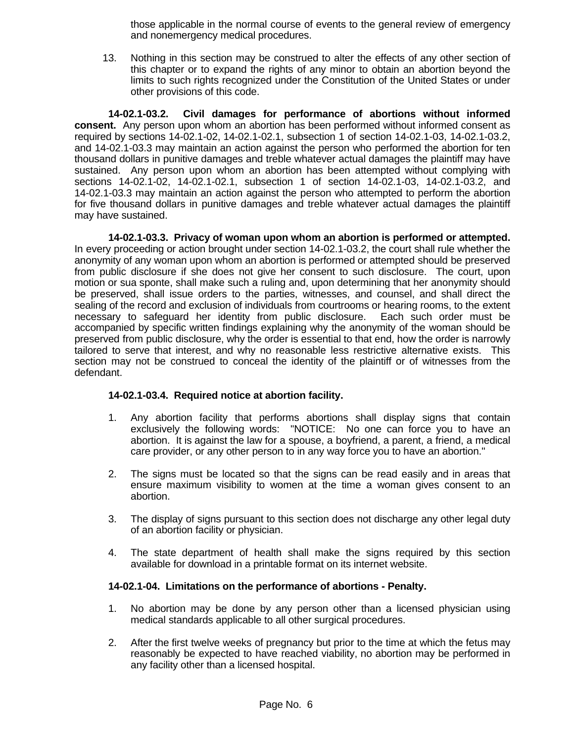those applicable in the normal course of events to the general review of emergency and nonemergency medical procedures.

13. Nothing in this section may be construed to alter the effects of any other section of this chapter or to expand the rights of any minor to obtain an abortion beyond the limits to such rights recognized under the Constitution of the United States or under other provisions of this code.

**14-02.1-03.2. Civil damages for performance of abortions without informed consent.** Any person upon whom an abortion has been performed without informed consent as required by sections 14-02.1-02, 14-02.1-02.1, subsection 1 of section 14-02.1-03, 14-02.1-03.2, and 14-02.1-03.3 may maintain an action against the person who performed the abortion for ten thousand dollars in punitive damages and treble whatever actual damages the plaintiff may have sustained. Any person upon whom an abortion has been attempted without complying with sections 14-02.1-02, 14-02.1-02.1, subsection 1 of section 14-02.1-03, 14-02.1-03.2, and 14-02.1-03.3 may maintain an action against the person who attempted to perform the abortion for five thousand dollars in punitive damages and treble whatever actual damages the plaintiff may have sustained.

**14-02.1-03.3. Privacy of woman upon whom an abortion is performed or attempted.** In every proceeding or action brought under section 14-02.1-03.2, the court shall rule whether the anonymity of any woman upon whom an abortion is performed or attempted should be preserved from public disclosure if she does not give her consent to such disclosure. The court, upon motion or sua sponte, shall make such a ruling and, upon determining that her anonymity should be preserved, shall issue orders to the parties, witnesses, and counsel, and shall direct the sealing of the record and exclusion of individuals from courtrooms or hearing rooms, to the extent necessary to safeguard her identity from public disclosure. Each such order must be accompanied by specific written findings explaining why the anonymity of the woman should be preserved from public disclosure, why the order is essential to that end, how the order is narrowly tailored to serve that interest, and why no reasonable less restrictive alternative exists. This section may not be construed to conceal the identity of the plaintiff or of witnesses from the defendant.

#### **14-02.1-03.4. Required notice at abortion facility.**

- 1. Any abortion facility that performs abortions shall display signs that contain exclusively the following words: "NOTICE: No one can force you to have an abortion. It is against the law for a spouse, a boyfriend, a parent, a friend, a medical care provider, or any other person to in any way force you to have an abortion."
- 2. The signs must be located so that the signs can be read easily and in areas that ensure maximum visibility to women at the time a woman gives consent to an abortion.
- 3. The display of signs pursuant to this section does not discharge any other legal duty of an abortion facility or physician.
- 4. The state department of health shall make the signs required by this section available for download in a printable format on its internet website.

#### **14-02.1-04. Limitations on the performance of abortions - Penalty.**

- 1. No abortion may be done by any person other than a licensed physician using medical standards applicable to all other surgical procedures.
- 2. After the first twelve weeks of pregnancy but prior to the time at which the fetus may reasonably be expected to have reached viability, no abortion may be performed in any facility other than a licensed hospital.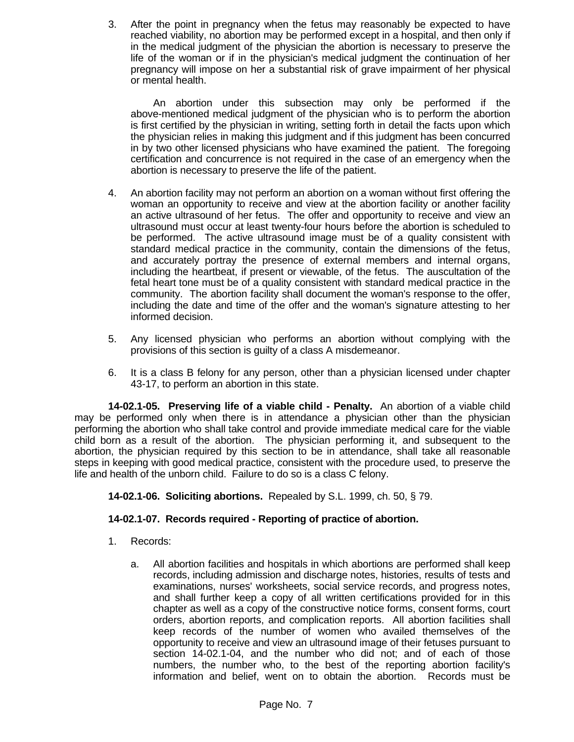3. After the point in pregnancy when the fetus may reasonably be expected to have reached viability, no abortion may be performed except in a hospital, and then only if in the medical judgment of the physician the abortion is necessary to preserve the life of the woman or if in the physician's medical judgment the continuation of her pregnancy will impose on her a substantial risk of grave impairment of her physical or mental health.

An abortion under this subsection may only be performed if the above-mentioned medical judgment of the physician who is to perform the abortion is first certified by the physician in writing, setting forth in detail the facts upon which the physician relies in making this judgment and if this judgment has been concurred in by two other licensed physicians who have examined the patient. The foregoing certification and concurrence is not required in the case of an emergency when the abortion is necessary to preserve the life of the patient.

- 4. An abortion facility may not perform an abortion on a woman without first offering the woman an opportunity to receive and view at the abortion facility or another facility an active ultrasound of her fetus. The offer and opportunity to receive and view an ultrasound must occur at least twenty-four hours before the abortion is scheduled to be performed. The active ultrasound image must be of a quality consistent with standard medical practice in the community, contain the dimensions of the fetus, and accurately portray the presence of external members and internal organs, including the heartbeat, if present or viewable, of the fetus. The auscultation of the fetal heart tone must be of a quality consistent with standard medical practice in the community. The abortion facility shall document the woman's response to the offer, including the date and time of the offer and the woman's signature attesting to her informed decision.
- 5. Any licensed physician who performs an abortion without complying with the provisions of this section is guilty of a class A misdemeanor.
- 6. It is a class B felony for any person, other than a physician licensed under chapter 43-17, to perform an abortion in this state.

**14-02.1-05. Preserving life of a viable child - Penalty.** An abortion of a viable child may be performed only when there is in attendance a physician other than the physician performing the abortion who shall take control and provide immediate medical care for the viable child born as a result of the abortion. The physician performing it, and subsequent to the abortion, the physician required by this section to be in attendance, shall take all reasonable steps in keeping with good medical practice, consistent with the procedure used, to preserve the life and health of the unborn child. Failure to do so is a class C felony.

**14-02.1-06. Soliciting abortions.** Repealed by S.L. 1999, ch. 50, § 79.

## **14-02.1-07. Records required - Reporting of practice of abortion.**

- 1. Records:
	- a. All abortion facilities and hospitals in which abortions are performed shall keep records, including admission and discharge notes, histories, results of tests and examinations, nurses' worksheets, social service records, and progress notes, and shall further keep a copy of all written certifications provided for in this chapter as well as a copy of the constructive notice forms, consent forms, court orders, abortion reports, and complication reports. All abortion facilities shall keep records of the number of women who availed themselves of the opportunity to receive and view an ultrasound image of their fetuses pursuant to section 14-02.1-04, and the number who did not; and of each of those numbers, the number who, to the best of the reporting abortion facility's information and belief, went on to obtain the abortion. Records must be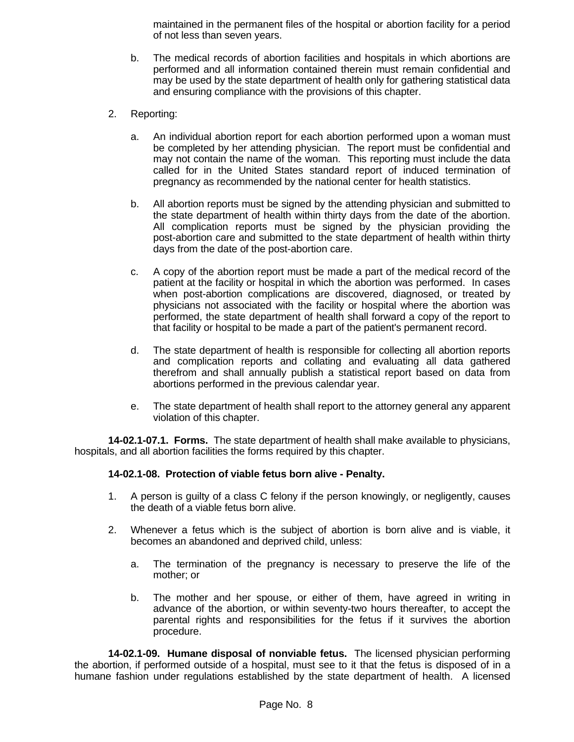maintained in the permanent files of the hospital or abortion facility for a period of not less than seven years.

- b. The medical records of abortion facilities and hospitals in which abortions are performed and all information contained therein must remain confidential and may be used by the state department of health only for gathering statistical data and ensuring compliance with the provisions of this chapter.
- 2. Reporting:
	- a. An individual abortion report for each abortion performed upon a woman must be completed by her attending physician. The report must be confidential and may not contain the name of the woman. This reporting must include the data called for in the United States standard report of induced termination of pregnancy as recommended by the national center for health statistics.
	- b. All abortion reports must be signed by the attending physician and submitted to the state department of health within thirty days from the date of the abortion. All complication reports must be signed by the physician providing the post-abortion care and submitted to the state department of health within thirty days from the date of the post-abortion care.
	- c. A copy of the abortion report must be made a part of the medical record of the patient at the facility or hospital in which the abortion was performed. In cases when post-abortion complications are discovered, diagnosed, or treated by physicians not associated with the facility or hospital where the abortion was performed, the state department of health shall forward a copy of the report to that facility or hospital to be made a part of the patient's permanent record.
	- d. The state department of health is responsible for collecting all abortion reports and complication reports and collating and evaluating all data gathered therefrom and shall annually publish a statistical report based on data from abortions performed in the previous calendar year.
	- e. The state department of health shall report to the attorney general any apparent violation of this chapter.

**14-02.1-07.1. Forms.** The state department of health shall make available to physicians, hospitals, and all abortion facilities the forms required by this chapter.

#### **14-02.1-08. Protection of viable fetus born alive - Penalty.**

- 1. A person is guilty of a class C felony if the person knowingly, or negligently, causes the death of a viable fetus born alive.
- 2. Whenever a fetus which is the subject of abortion is born alive and is viable, it becomes an abandoned and deprived child, unless:
	- a. The termination of the pregnancy is necessary to preserve the life of the mother; or
	- b. The mother and her spouse, or either of them, have agreed in writing in advance of the abortion, or within seventy-two hours thereafter, to accept the parental rights and responsibilities for the fetus if it survives the abortion procedure.

**14-02.1-09. Humane disposal of nonviable fetus.** The licensed physician performing the abortion, if performed outside of a hospital, must see to it that the fetus is disposed of in a humane fashion under regulations established by the state department of health. A licensed